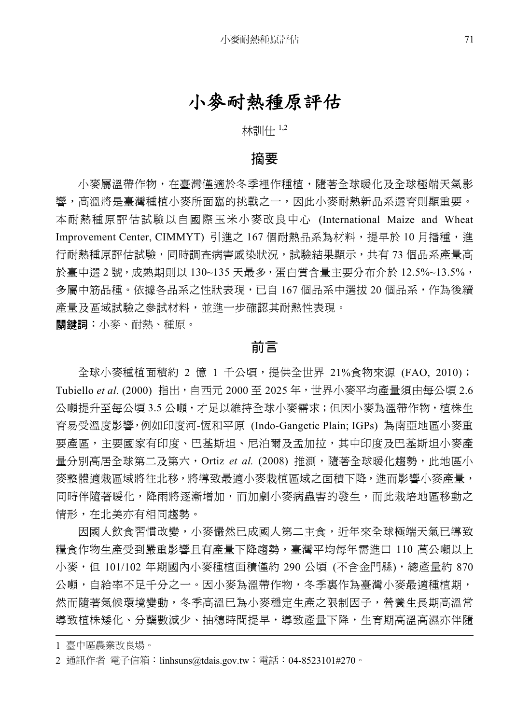## 小麥耐熱種原評估

林訓仕 1,2

#### 摘要

小麥屬溫帶作物,在臺灣僅滴於冬季裡作種植,隨著全球暖化及全球極端天氣影 響,高溫將是臺灣種植小麥所面臨的挑戰之一,因此小麥耐熱新品系選育則顯重要。 本耐熱種原評估試驗以自國際玉米小麥改良中心 (International Maize and Wheat Improvement Center, CIMMYT) 引進之 167 個耐熱品系為材料,提早於 10 月播種,進 行耐熱種原評估試驗,同時調查病害感染狀況,試驗結果顯示,共有 73 個品系產量高 於臺中選 2 號,成熟期則以 130~135 天最多,蛋白質含量主要分布介於 12.5%~13.5%, 多屬中筋品種。依據各品系之性狀表現,已自 167 個品系中選拔 20 個品系,作為後續 產量及區域試驗之參試材料,並進一步確認其耐熱性表現。 關鍵詞:小麥、耐熱、種原。

## 前言

全球小麥種植面積約 2 億 1 千公頃,提供全世界 21%食物來源 (FAO, 2010); Tubiello *et al.* (2000) 指出,自西元 2000 至 2025 年,世界小麥平均產量須由每公頃 2.6 公噸提升至每公頃 3.5 公噸,才足以維持全球小麥需求;但因小麥為溫帶作物,植株生 育易受溫度影響,例如印度河-恆和平原 (Indo-Gangetic Plain; IGPs) 為南亞地區小麥重 要產區,主要國家有印度、巴基斯坦、尼泊爾及孟加拉,其中印度及巴基斯坦小麥產 量分別高居全球第二及第六,Ortiz *et al*. (2008) 推測,隨著全球暖化趨勢,此地區小 麥整體適栽區域將往北移,將導致最適小麥栽植區域之面積下降,進而影響小麥產量, 同時伴隨著暖化,降雨將逐漸增加,而加劇小麥病蟲害的發生,而此栽培地區移動之 情形,在北美亦有相同趨勢。

因國人飲食習慣改變,小麥儼然已成國人第二主食,近年來全球極端天氣已導致 糧食作物生產受到嚴重影響且有產量下降趨勢,臺灣平均每年需進口 110 萬公噸以上 小麥,但 101/102年期國內小麥種植面積僅約 290公頃 (不含金門縣),總產量約 870 公噸,自給率不足千分之一。因小麥為溫帶作物,冬季裏作為臺灣小麥最適種植期, 然而隨著氣候環境變動,冬季高溫已為小麥穩定生產之限制因子,營養生長期高溫常 導致植株矮化、分蘗數減少、抽穗時間提早,導致產量下降,生育期高溫高濕亦伴隨

<sup>1</sup> 臺中區農業改良場。

<sup>2</sup> 通訊作者 電子信箱:linhsuns@tdais.gov.tw;電話:04-8523101#270。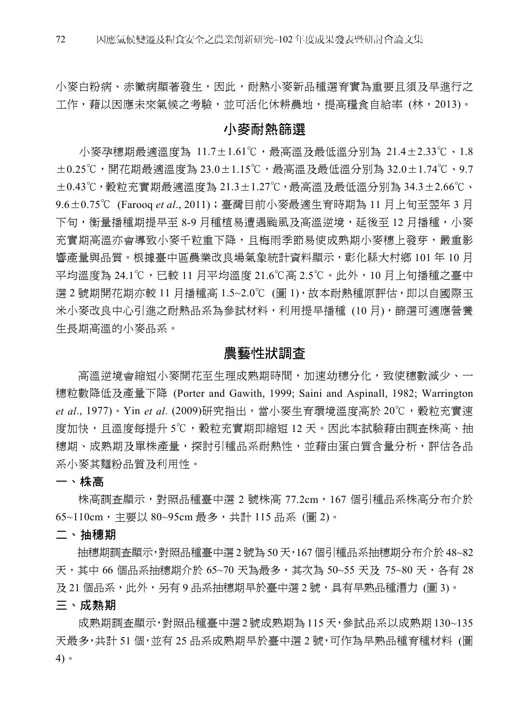小麥白粉病、赤黴病顯著發生,因此,耐熱小麥新品種選育實為重要且須及早進行之 工作,藉以因應未來氣候之考驗,並可活化休耕農地,提高糧食自給率 (林,2013)。

#### 小麥耐熱篩選

小麥孕穗期最適溫度為 11.7±1.61℃,最高溫及最低溫分別為 21.4±2.33℃、1.8 ±0.25℃,開花期最適溫度為 23.0±1.15℃,最高溫及最低溫分別為 32.0±1.74℃、9.7 ±0.43℃,穀粒充實期最適溫度為 21.3±1.27℃,最高溫及最低溫分別為 34.3±2.66℃、 9.6±0.75℃ (Farooq *et al*., 2011);臺灣目前小麥最適生育時期為 11 月上旬至翌年 3 月 下旬,衡量播種期提早至 8-9 月種植易遭遇颱風及高溫逆境,延後至 12 月播種,小麥 **充實期高溫亦會導致小麥千粒重下降,且梅雨季節易使成熟期小麥穗上發芽,嚴重影** 響產量與品質。根據臺中區農業改良場氣象統計資料顯示,彰化縣大村鄉 101 年 10 月 平均溫度為 24.1℃,已較 11 月平均溫度 21.6℃高 2.5℃。此外,10 月上旬播種之臺中 選 2 號期開花期亦較 11 月播種高 1.5~2.0℃ (圖 1),故本耐熱種原評估,即以自國際玉 米小麥改良中心引進之耐熱品系為參試材料,利用提早播種 (10 月),篩選可適應營養 生長期高溫的小麥品系。

#### 農藝性狀調查

高溫逆境會縮短小麥開花至生理成熟期時間,加速幼穗分化,致使穗數減少、一 穗粒數降低及產量下降 (Porter and Gawith, 1999; Saini and Aspinall, 1982; Warrington et al., 1977)。Yin *et al.* (2009)研究指出,當小麥生育環境溫度高於 20℃,穀粒充實速 度加快,且溫度每提升 5℃,穀粒充實期即縮短 12 天。因此本試驗藉由調杳株高、抽 穗期、成熟期及單株產量,探討引種品系耐熱性,並藉由蛋白質含量分析,評估各品 系小麥其麵粉品質及利用性。

一、株高

株高調杳顯示,對照品種臺中選 2 號株高 77.2cm,167 個引種品系株高分布介於 65~110cm,主要以 80~95cm 最多,共計 115 品系 (圖 2)。

二、抽穗期

抽穗期調查顯示,對照品種臺中選 2 號為 50 天,167 個引種品系抽穗期分布介於 48~82 天,其中 66 個品系抽穗期介於 65~70 天為最多,其次為 50~55 天及 75~80 天,各有 28 及 21 個品系,此外,另有 9 品系抽穗期早於臺中選 2 號,具有早熟品種潛力 (圖 3)。

三、成熟期

成熟期調查顯示,對照品種臺中選 2 號成熟期為 115 天,參試品系以成熟期 130~135 天最多,共計 51 個,並有 25 品系成熟期早於臺中選 2 號,可作為早熟品種育種材料 (圖 4)。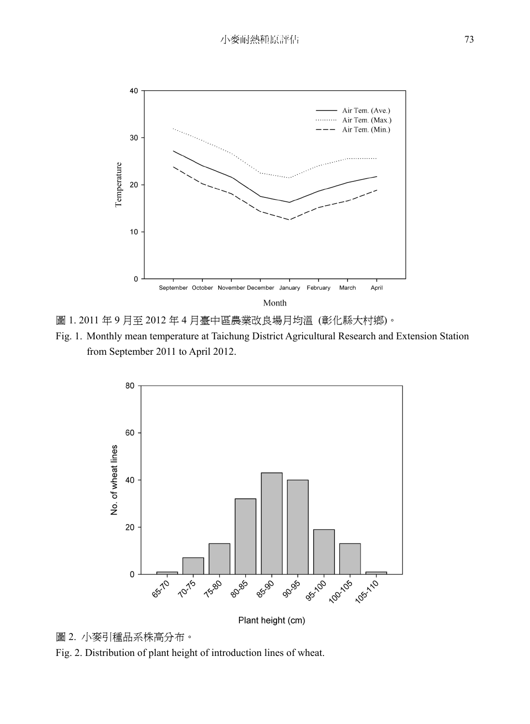

圖 1. 2011 年 9 月至 2012 年 4 月臺中區農業改良場月均溫 (彰化縣大村鄉)。

Fig. 1. Monthly mean temperature at Taichung District Agricultural Research and Extension Station from September 2011 to April 2012.



Plant height (cm)

## 圖 2. 小麥引種品系株高分布。

Fig. 2. Distribution of plant height of introduction lines of wheat.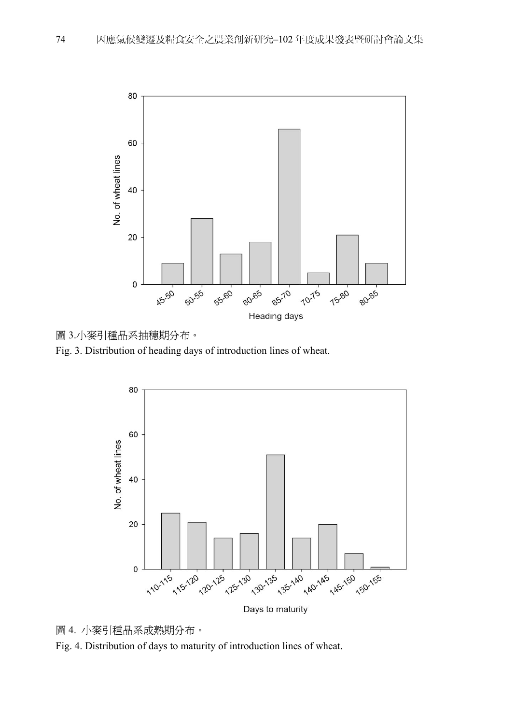



Fig. 3. Distribution of heading days of introduction lines of wheat.





Fig. 4. Distribution of days to maturity of introduction lines of wheat.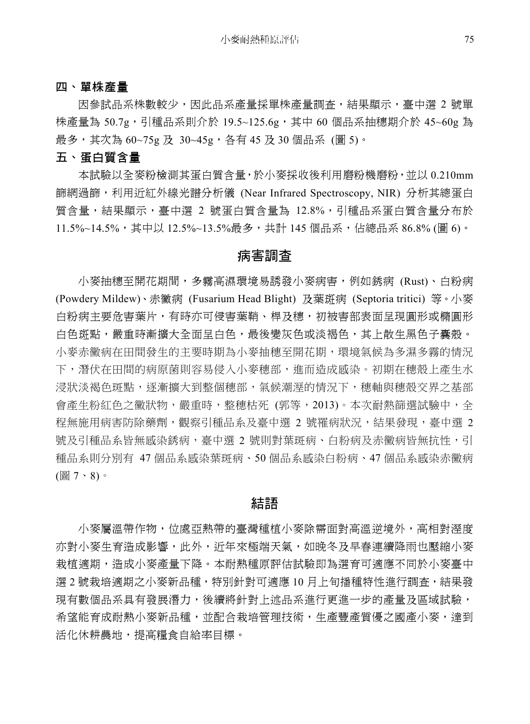#### 四、單株產量

因參試品系株數較少,因此品系產量採單株產量調查,結果顯示,臺中選 2 號單 株產量為 50.7g,引種品系則介於 19.5~125.6g,其中 60 個品系抽穗期介於 45~60g 為 最多,其次為 60~75g 及 30~45g,各有 45 及 30 個品系 (圖 5)。

#### 五、蛋白質含量

本試驗以全麥粉檢測其蛋白質含量,於小麥採收後利用磨粉機磨粉,並以 0.210mm 篩網過篩,利用近紅外線光譜分析儀 (Near Infrared Spectroscopy, NIR) 分析其總蛋白 質含量,結果顯示,臺中選 2 號蛋白質含量為 12.8%,引種品系蛋白質含量分布於 11.5%~14.5%,其中以 12.5%~13.5%最多,共計 145 個品系,佔總品系 86.8% (圖 6)。

## 病害調查

小麥抽穗至開花期間,多霧高濕環境易誘發小麥病害,例如銹病 (Rust)、白粉病 (Powdery Mildew)、赤黴病 (Fusarium Head Blight) 及葉斑病 (Septoria tritici) 等。小麥 白粉病主要危害葉片,有時亦可侵害葉鞘、桿及穗,初被害部表面呈現圓形或橢圓形 白色斑點,嚴重時漸擴大全面呈白色,最後變灰色或淡褐色,其上散生黑色子囊殼。 小麥赤黴病在田間發生的主要時期為小麥抽穗至開花期,環境氣候為多濕多霧的情況 下,潛伏在田間的病原菌則容易侵入小麥穗部,進而造成感染。初期在穗殼上產生水 浸狀淡褐色斑點,逐漸擴大到整個穗部,氣候潮溼的情況下,穗軸與穗殼交界之基部 會產生粉紅色之黴狀物,嚴重時,整穗枯死 (郭等,2013)。本次耐熱篩選試驗中,全 程無施用病害防除藥劑,觀察引種品系及臺中選 2 號罹病狀況,結果發現,臺中選 2 號及引種品系皆無感染銹病,臺中選 2 號則對葉斑病、白粉病及赤黴病皆無抗性,引 種品系則分別有 47 個品系感染葉斑病、50 個品系感染白粉病、47 個品系感染赤黴病 (圖 7、8)。

### 結語

小麥屬溫帶作物,位處亞熱帶的臺灣種植小麥除需面對高溫逆境外,高相對溼度 亦對小麥生育造成影響,此外,近年來極端天氣,如晚冬及早春連續降雨也壓縮小麥 栽植適期,造成小麥產量下降。本耐熱種原評估試驗即為選育可適應不同於小麥臺中 選 2 號栽培適期之小麥新品種,特別針對可適應 10 月上旬播種特性進行調查,結果發 現有數個品系具有發展潛力,後續將針對上述品系進行更進一步的產量及區域試驗, 希望能育成耐熱小麥新品種,並配合栽培管理技術,生產豐產質優之國產小麥,達到 活化休耕農地,提高糧食自給率目標。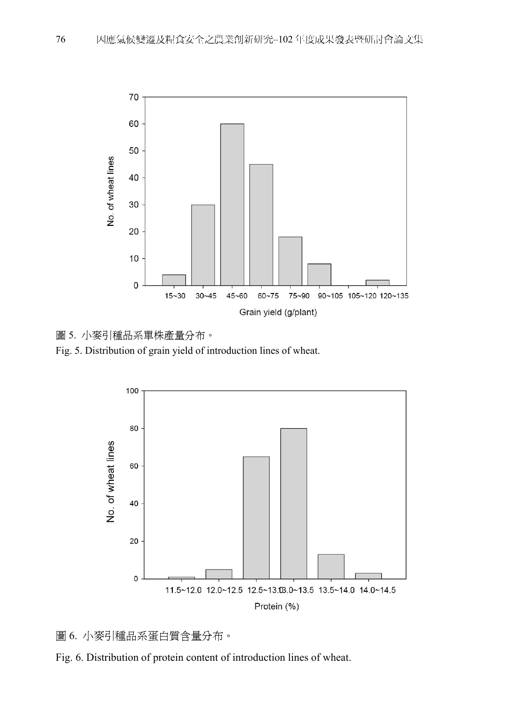

圖 5. 小麥引種品系單株產量分布。

Fig. 5. Distribution of grain yield of introduction lines of wheat.





Fig. 6. Distribution of protein content of introduction lines of wheat.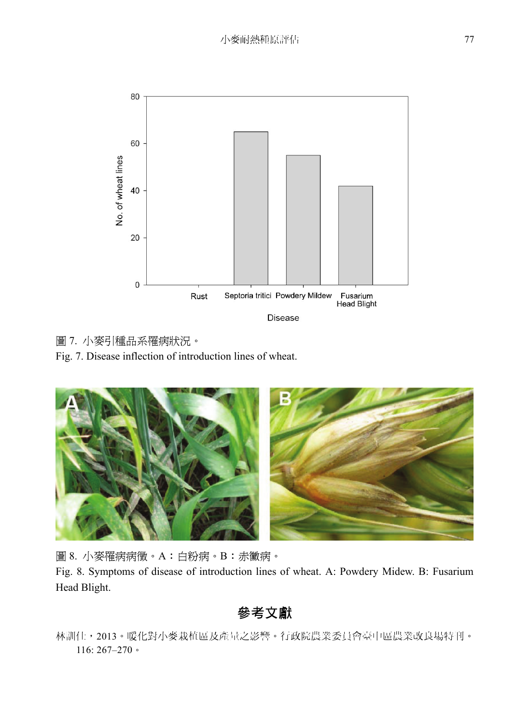

圖 7. 小麥引種品系罹病狀況。

Fig. 7. Disease inflection of introduction lines of wheat.



圖 8. 小麥罹病病徵。A:白粉病。B:赤黴病。

Fig. 8. Symptoms of disease of introduction lines of wheat. A: Powdery Midew. B: Fusarium Head Blight.

參考文獻

林訓仕,2013。暖化對小麥栽植區及產量之影響。行政院農業委員會臺中區農業改良場特刊。 116: 267–270。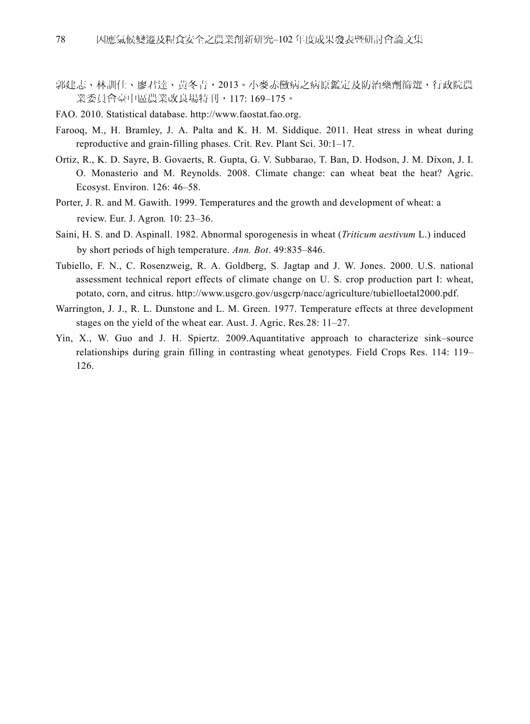- 郭建志、林訓仕、廖君達、黃冬青,2013。小麥赤黴病之病原鑑定及防治藥劑篩選,行政院農 業委員會臺中區農業改良場特刊,117: 169–175。
- FAO. 2010. Statistical database. http://www.faostat.fao.org.
- Farooq, M., H. Bramley, J. A. Palta and K. H. M. Siddique. 2011. Heat stress in wheat during reproductive and grain-filling phases. Crit. Rev. Plant Sci. 30:1–17.
- Ortiz, R., K. D. Sayre, B. Govaerts, R. Gupta, G. V. Subbarao, T. Ban, D. Hodson, J. M. Dixon, J. I. O. Monasterio and M. Reynolds. 2008. Climate change: can wheat beat the heat? Agric. Ecosyst. Environ. 126: 46–58.
- Porter, J. R. and M. Gawith. 1999. Temperatures and the growth and development of wheat: a review. Eur. J. Agron*.* 10: 23–36.
- Saini, H. S. and D. Aspinall. 1982. Abnormal sporogenesis in wheat (*Triticum aestivum* L.) induced by short periods of high temperature. *Ann. Bot*. 49:835–846.
- Tubiello, F. N., C. Rosenzweig, R. A. Goldberg, S. Jagtap and J. W. Jones. 2000. U.S. national assessment technical report effects of climate change on U. S. crop production part I: wheat, potato, corn, and citrus. http://www.usgcro.gov/usgcrp/nacc/agriculture/tubielloetal2000.pdf.
- Warrington, J. J., R. L. Dunstone and L. M. Green. 1977. Temperature effects at three development stages on the yield of the wheat ear. Aust. J. Agric. Res*.*28: 11–27.
- Yin, X., W. Guo and J. H. Spiertz. 2009.Aquantitative approach to characterize sink–source relationships during grain filling in contrasting wheat genotypes. Field Crops Res. 114: 119– 126.